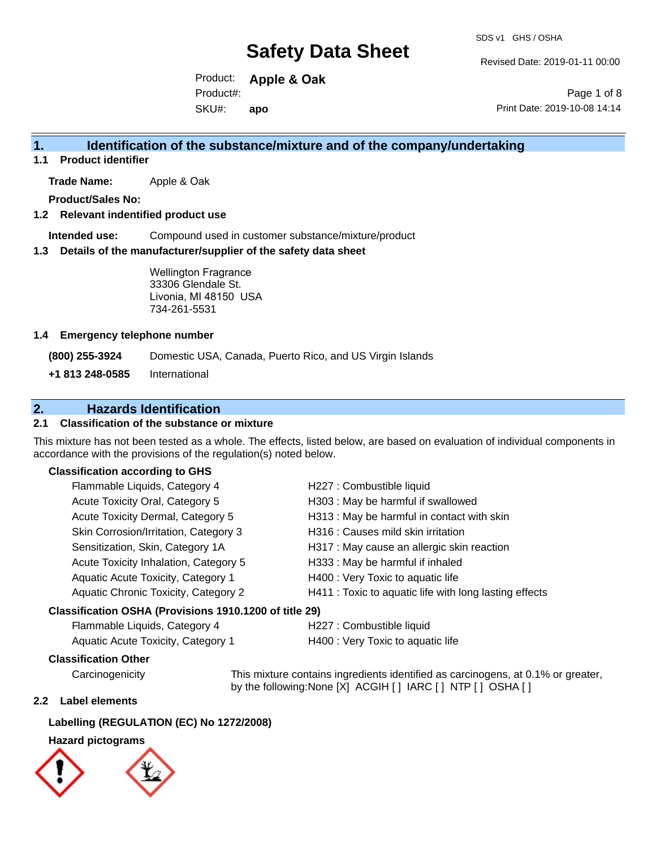Revised Date: 2019-01-11 00:00

Product: **Apple & Oak** SKU#: Product#: **apo**

Page 1 of 8 Print Date: 2019-10-08 14:14

#### **1. Identification of the substance/mixture and of the company/undertaking**

**1.1 Product identifier**

**Trade Name:** Apple & Oak

**Product/Sales No:**

#### **1.2 Relevant indentified product use**

**Intended use:** Compound used in customer substance/mixture/product

#### **1.3 Details of the manufacturer/supplier of the safety data sheet**

Wellington Fragrance 33306 Glendale St. Livonia, MI 48150 USA 734-261-5531

#### **1.4 Emergency telephone number**

**(800) 255-3924** Domestic USA, Canada, Puerto Rico, and US Virgin Islands

**+1 813 248-0585** International

#### **2. Hazards Identification**

#### **2.1 Classification of the substance or mixture**

This mixture has not been tested as a whole. The effects, listed below, are based on evaluation of individual components in accordance with the provisions of the regulation(s) noted below.

#### **Classification according to GHS**

| Flammable Liquids, Category 4                          | H227 : Combustible liquid                              |
|--------------------------------------------------------|--------------------------------------------------------|
| Acute Toxicity Oral, Category 5                        | H303 : May be harmful if swallowed                     |
| Acute Toxicity Dermal, Category 5                      | H313 : May be harmful in contact with skin             |
| Skin Corrosion/Irritation, Category 3                  | H316 : Causes mild skin irritation                     |
| Sensitization, Skin, Category 1A                       | H317 : May cause an allergic skin reaction             |
| Acute Toxicity Inhalation, Category 5                  | H333: May be harmful if inhaled                        |
| Aquatic Acute Toxicity, Category 1                     | H400 : Very Toxic to aquatic life                      |
| Aquatic Chronic Toxicity, Category 2                   | H411 : Toxic to aquatic life with long lasting effects |
| Classification OSHA (Provisions 1910.1200 of title 29) |                                                        |

## Flammable Liquids, Category 4 H227 : Combustible liquid

| remindere Eigende, Sategory r             | <b>INSERVIS DESCRIPTIONS</b>      |
|-------------------------------------------|-----------------------------------|
| <b>Aquatic Acute Toxicity, Category 1</b> | H400 : Very Toxic to aquatic life |

**Classification Other**

Carcinogenicity This mixture contains ingredients identified as carcinogens, at 0.1% or greater, by the following:None [X] ACGIH [ ] IARC [ ] NTP [ ] OSHA [ ]

#### **2.2 Label elements**

#### **Labelling (REGULATION (EC) No 1272/2008)**

#### **Hazard pictograms**

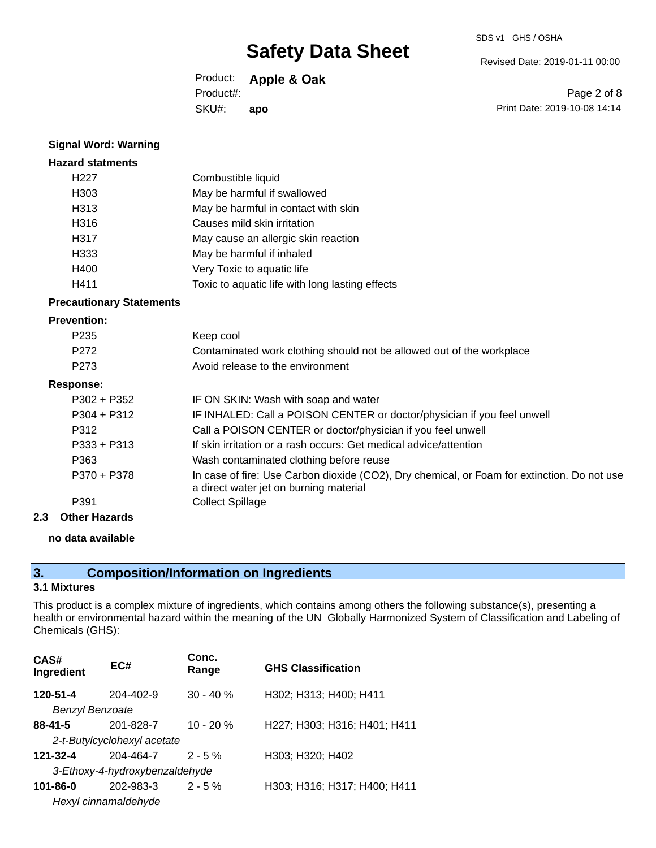Revised Date: 2019-01-11 00:00

Product: **Apple & Oak** SKU#: Product#: **apo**

Page 2 of 8 Print Date: 2019-10-08 14:14

| <b>Signal Word: Warning</b>     |                                                                                                                                       |
|---------------------------------|---------------------------------------------------------------------------------------------------------------------------------------|
| <b>Hazard statments</b>         |                                                                                                                                       |
| H <sub>22</sub> 7               | Combustible liquid                                                                                                                    |
| H303                            | May be harmful if swallowed                                                                                                           |
| H313                            | May be harmful in contact with skin                                                                                                   |
| H <sub>316</sub>                | Causes mild skin irritation                                                                                                           |
| H317                            | May cause an allergic skin reaction                                                                                                   |
| H <sub>333</sub>                | May be harmful if inhaled                                                                                                             |
| H400                            | Very Toxic to aquatic life                                                                                                            |
| H411                            | Toxic to aquatic life with long lasting effects                                                                                       |
| <b>Precautionary Statements</b> |                                                                                                                                       |
| <b>Prevention:</b>              |                                                                                                                                       |
| P <sub>235</sub>                | Keep cool                                                                                                                             |
| P272                            | Contaminated work clothing should not be allowed out of the workplace                                                                 |
| P273                            | Avoid release to the environment                                                                                                      |
| <b>Response:</b>                |                                                                                                                                       |
| P302 + P352                     | IF ON SKIN: Wash with soap and water                                                                                                  |
| P304 + P312                     | IF INHALED: Call a POISON CENTER or doctor/physician if you feel unwell                                                               |
| P312                            | Call a POISON CENTER or doctor/physician if you feel unwell                                                                           |
| P333 + P313                     | If skin irritation or a rash occurs: Get medical advice/attention                                                                     |
| P363                            | Wash contaminated clothing before reuse                                                                                               |
| P370 + P378                     | In case of fire: Use Carbon dioxide (CO2), Dry chemical, or Foam for extinction. Do not use<br>a direct water jet on burning material |
| P391                            | <b>Collect Spillage</b>                                                                                                               |
| Othor Hazarde                   |                                                                                                                                       |

**2.3 Other Hazards**

#### **no data available**

### **3. Composition/Information on Ingredients**

#### **3.1 Mixtures**

This product is a complex mixture of ingredients, which contains among others the following substance(s), presenting a health or environmental hazard within the meaning of the UN Globally Harmonized System of Classification and Labeling of Chemicals (GHS):

| CAS#<br>Ingredient          | EC#                            | Conc.<br>Range | <b>GHS Classification</b>    |
|-----------------------------|--------------------------------|----------------|------------------------------|
| 120-51-4                    | 204-402-9                      | $30 - 40 \%$   | H302; H313; H400; H411       |
| Benzyl Benzoate             |                                |                |                              |
| $88 - 41 - 5$               | 201-828-7                      | $10 - 20 %$    | H227; H303; H316; H401; H411 |
| 2-t-Butylcyclohexyl acetate |                                |                |                              |
| 121-32-4                    | 204-464-7                      | $2 - 5%$       | H303; H320; H402             |
|                             | 3-Ethoxy-4-hydroxybenzaldehyde |                |                              |
| 101-86-0                    | 202-983-3                      | $2 - 5%$       | H303; H316; H317; H400; H411 |
|                             | Hexyl cinnamaldehyde           |                |                              |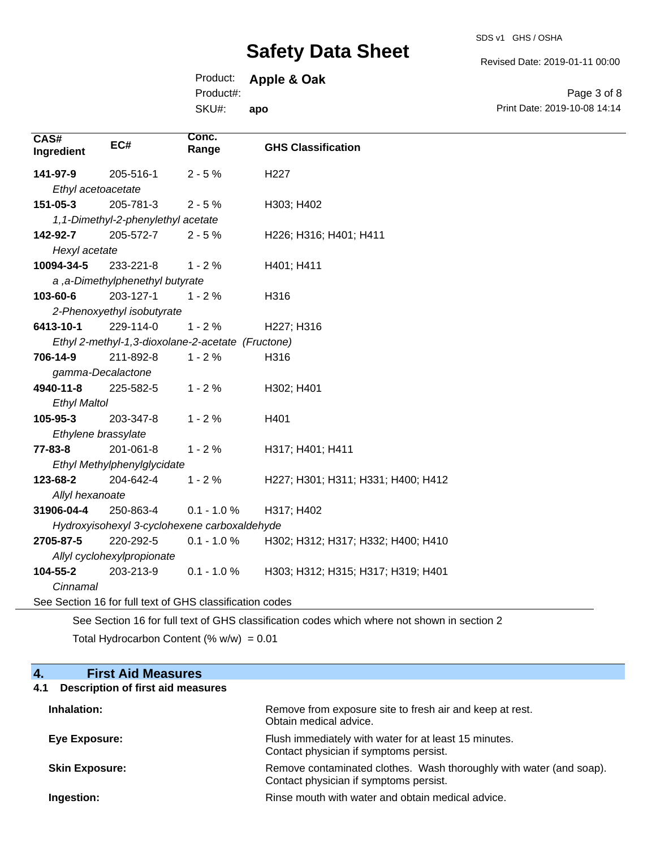SDS v1 GHS / OSHA

Revised Date: 2019-01-11 00:00

Page 3 of 8

Product: **Apple & Oak**

Product#:

**CAS#**

|                           |                                    | SKU#:          | apo                       | Print Date: 2019-10-08 14:14 |
|---------------------------|------------------------------------|----------------|---------------------------|------------------------------|
| <b>CAS#</b><br>Ingredient | EC#                                | Conc.<br>Range | <b>GHS Classification</b> |                              |
| 141-97-9                  | 205-516-1                          | $2 - 5 \%$     | H <sub>227</sub>          |                              |
|                           | Ethyl acetoacetate                 |                |                           |                              |
| 151-05-3                  | 205-781-3                          | $2 - 5 \%$     | H303; H402                |                              |
|                           | 1,1-Dimethyl-2-phenylethyl acetate |                |                           |                              |
| 142-92-7                  | 205-572-7                          | $2 - 5 \%$     | H226; H316; H401; H411    |                              |

| 151-05-3                           | $205 - 781 - 3$ 2 - 5 %         |                                                   | H303; H402                                     |
|------------------------------------|---------------------------------|---------------------------------------------------|------------------------------------------------|
| 1,1-Dimethyl-2-phenylethyl acetate |                                 |                                                   |                                                |
| 142-92-7                           | $205-572-7$ 2 - 5 %             |                                                   | H226; H316; H401; H411                         |
| Hexyl acetate                      |                                 |                                                   |                                                |
|                                    | 10094-34-5 233-221-8 1 - 2 %    |                                                   | H401; H411                                     |
|                                    | a, a-Dimethylphenethyl butyrate |                                                   |                                                |
| 103-60-6                           | 203-127-1                       | $1 - 2 \%$                                        | H316                                           |
|                                    | 2-Phenoxyethyl isobutyrate      |                                                   |                                                |
| 6413-10-1                          | 229-114-0                       | $1 - 2%$                                          | H227; H316                                     |
|                                    |                                 | Ethyl 2-methyl-1,3-dioxolane-2-acetate (Fructone) |                                                |
|                                    | <b>706-14-9</b> 211-892-8       | $1 - 2%$                                          | H316                                           |
|                                    | gamma-Decalactone               |                                                   |                                                |
|                                    | <b>4940-11-8</b> 225-582-5      | $1 - 2%$                                          | H302; H401                                     |
| <b>Ethyl Maltol</b>                |                                 |                                                   |                                                |
| 105-95-3                           | 203-347-8                       | $1 - 2 \%$                                        | H401                                           |
|                                    | Ethylene brassylate             |                                                   |                                                |
| 77-83-8                            | $201 - 061 - 8$ 1 - 2 %         |                                                   | H317; H401; H411                               |
|                                    | Ethyl Methylphenylglycidate     |                                                   |                                                |
| 123-68-2                           | 204-642-4                       | $1 - 2%$                                          | H227; H301; H311; H331; H400; H412             |
| Allyl hexanoate                    |                                 |                                                   |                                                |
|                                    |                                 | $31906 - 04 - 4$ 250-863-4 0.1 - 1.0 %            | H317; H402                                     |
|                                    |                                 | Hydroxyisohexyl 3-cyclohexene carboxaldehyde      |                                                |
|                                    | <b>2705-87-5</b> 220-292-5      |                                                   | 0.1 - 1.0 % H302; H312; H317; H332; H400; H410 |
|                                    | Allyl cyclohexylpropionate      |                                                   |                                                |
|                                    | <b>104-55-2</b> 203-213-9       | $0.1 - 1.0 \%$                                    | H303; H312; H315; H317; H319; H401             |
| Cinnamal                           |                                 |                                                   |                                                |

See Section 16 for full text of GHS classification codes

See Section 16 for full text of GHS classification codes which where not shown in section 2 Total Hydrocarbon Content (%  $w/w$ ) = 0.01

#### **4. First Aid Measures**

#### **4.1 Description of first aid measures**

| Inhalation:           | Remove from exposure site to fresh air and keep at rest.<br>Obtain medical advice.                            |
|-----------------------|---------------------------------------------------------------------------------------------------------------|
| Eye Exposure:         | Flush immediately with water for at least 15 minutes.<br>Contact physician if symptoms persist.               |
| <b>Skin Exposure:</b> | Remove contaminated clothes. Wash thoroughly with water (and soap).<br>Contact physician if symptoms persist. |
| Ingestion:            | Rinse mouth with water and obtain medical advice.                                                             |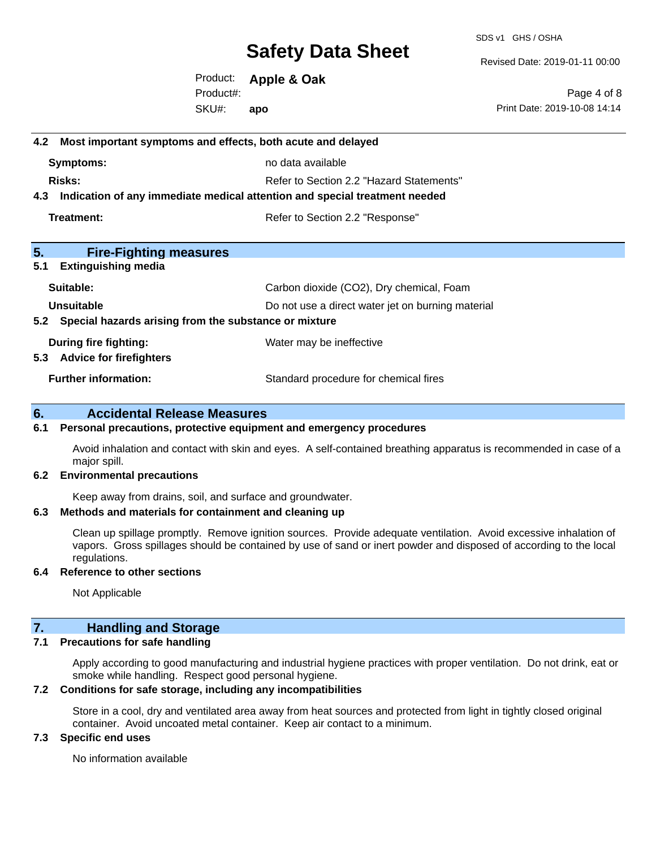SDS v1 GHS / OSHA

Revised Date: 2019-01-11 00:00

Product: **Apple & Oak** SKU#: Product#: **apo**

Page 4 of 8 Print Date: 2019-10-08 14:14

## **4.2 Most important symptoms and effects, both acute and delayed Symptoms:** no data available **Risks:** Risks: Refer to Section 2.2 "Hazard Statements" **4.3 Indication of any immediate medical attention and special treatment needed Treatment:** Treatment: Treatment: Refer to Section 2.2 "Response" **5. Fire-Fighting measures 5.1 Extinguishing media** Suitable: Carbon dioxide (CO2), Dry chemical, Foam **Unsuitable** Do not use a direct water jet on burning material **5.2 Special hazards arising from the substance or mixture During fire fighting:** Water may be ineffective **5.3 Advice for firefighters Further information:** Standard procedure for chemical fires **6. Accidental Release Measures**

#### **6.1 Personal precautions, protective equipment and emergency procedures**

Avoid inhalation and contact with skin and eyes. A self-contained breathing apparatus is recommended in case of a major spill.

#### **6.2 Environmental precautions**

Keep away from drains, soil, and surface and groundwater.

#### **6.3 Methods and materials for containment and cleaning up**

Clean up spillage promptly. Remove ignition sources. Provide adequate ventilation. Avoid excessive inhalation of vapors. Gross spillages should be contained by use of sand or inert powder and disposed of according to the local regulations.

#### **6.4 Reference to other sections**

Not Applicable

#### **7. Handling and Storage**

#### **7.1 Precautions for safe handling**

Apply according to good manufacturing and industrial hygiene practices with proper ventilation. Do not drink, eat or smoke while handling. Respect good personal hygiene.

#### **7.2 Conditions for safe storage, including any incompatibilities**

Store in a cool, dry and ventilated area away from heat sources and protected from light in tightly closed original container. Avoid uncoated metal container. Keep air contact to a minimum.

#### **7.3 Specific end uses**

No information available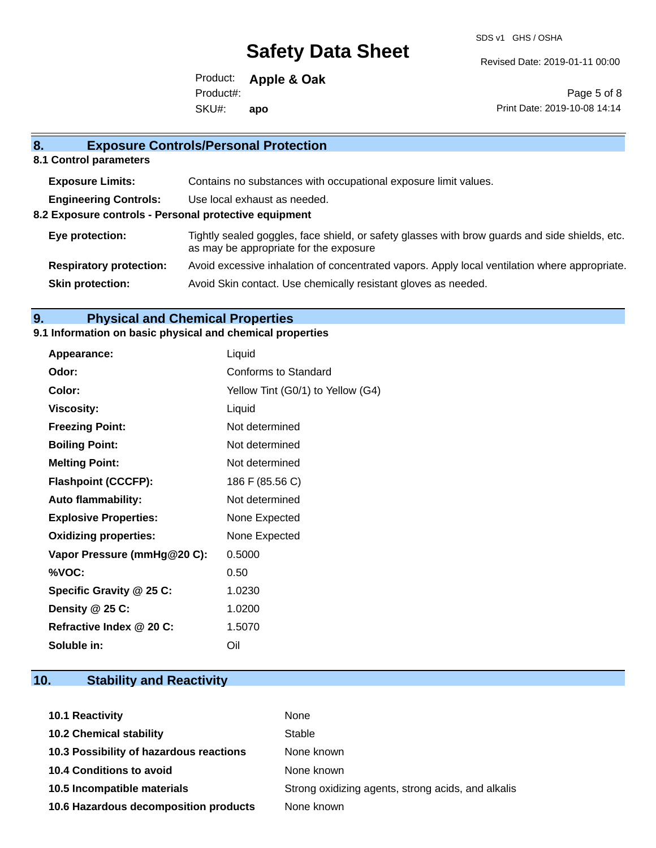SDS v1 GHS / OSHA

Revised Date: 2019-01-11 00:00

Product: **Apple & Oak** SKU#: Product#: **apo**

Page 5 of 8 Print Date: 2019-10-08 14:14

| 8.                                                    | <b>Exposure Controls/Personal Protection</b>                                                                                             |  |
|-------------------------------------------------------|------------------------------------------------------------------------------------------------------------------------------------------|--|
| 8.1 Control parameters                                |                                                                                                                                          |  |
| <b>Exposure Limits:</b>                               | Contains no substances with occupational exposure limit values.                                                                          |  |
| <b>Engineering Controls:</b>                          | Use local exhaust as needed.                                                                                                             |  |
| 8.2 Exposure controls - Personal protective equipment |                                                                                                                                          |  |
| Eye protection:                                       | Tightly sealed goggles, face shield, or safety glasses with brow guards and side shields, etc.<br>as may be appropriate for the exposure |  |
| <b>Respiratory protection:</b>                        | Avoid excessive inhalation of concentrated vapors. Apply local ventilation where appropriate.                                            |  |
| <b>Skin protection:</b>                               | Avoid Skin contact. Use chemically resistant gloves as needed.                                                                           |  |

### **9. Physical and Chemical Properties**

#### **9.1 Information on basic physical and chemical properties**

| Appearance:                  | Liquid                            |
|------------------------------|-----------------------------------|
| Odor:                        | Conforms to Standard              |
| Color:                       | Yellow Tint (G0/1) to Yellow (G4) |
| <b>Viscosity:</b>            | Liquid                            |
| <b>Freezing Point:</b>       | Not determined                    |
| <b>Boiling Point:</b>        | Not determined                    |
| <b>Melting Point:</b>        | Not determined                    |
| <b>Flashpoint (CCCFP):</b>   | 186 F (85.56 C)                   |
| <b>Auto flammability:</b>    | Not determined                    |
| <b>Explosive Properties:</b> | None Expected                     |
| <b>Oxidizing properties:</b> | None Expected                     |
| Vapor Pressure (mmHg@20 C):  | 0.5000                            |
| %VOC:                        | 0.50                              |
| Specific Gravity @ 25 C:     | 1.0230                            |
| Density $@25C$ :             | 1.0200                            |
| Refractive Index @ 20 C:     | 1.5070                            |
| Soluble in:                  | Oil                               |

## **10. Stability and Reactivity**

| 10.1 Reactivity                         | None                                               |
|-----------------------------------------|----------------------------------------------------|
| <b>10.2 Chemical stability</b>          | Stable                                             |
| 10.3 Possibility of hazardous reactions | None known                                         |
| <b>10.4 Conditions to avoid</b>         | None known                                         |
| 10.5 Incompatible materials             | Strong oxidizing agents, strong acids, and alkalis |
| 10.6 Hazardous decomposition products   | None known                                         |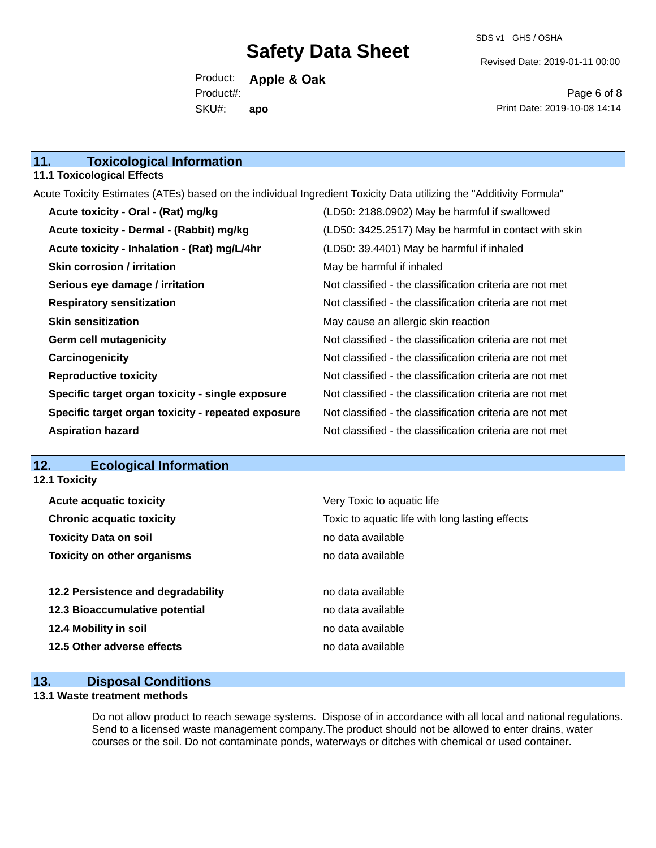Revised Date: 2019-01-11 00:00

Product: **Apple & Oak** SKU#: Product#: **apo**

Page 6 of 8 Print Date: 2019-10-08 14:14

#### **11. Toxicological Information**

#### **11.1 Toxicological Effects**

Acute Toxicity Estimates (ATEs) based on the individual Ingredient Toxicity Data utilizing the "Additivity Formula"

| Acute toxicity - Oral - (Rat) mg/kg                | (LD50: 2188.0902) May be harmful if swallowed            |
|----------------------------------------------------|----------------------------------------------------------|
| Acute toxicity - Dermal - (Rabbit) mg/kg           | (LD50: 3425.2517) May be harmful in contact with skin    |
| Acute toxicity - Inhalation - (Rat) mg/L/4hr       | (LD50: 39.4401) May be harmful if inhaled                |
| <b>Skin corrosion / irritation</b>                 | May be harmful if inhaled                                |
| Serious eye damage / irritation                    | Not classified - the classification criteria are not met |
| <b>Respiratory sensitization</b>                   | Not classified - the classification criteria are not met |
| <b>Skin sensitization</b>                          | May cause an allergic skin reaction                      |
| <b>Germ cell mutagenicity</b>                      | Not classified - the classification criteria are not met |
| Carcinogenicity                                    | Not classified - the classification criteria are not met |
| <b>Reproductive toxicity</b>                       | Not classified - the classification criteria are not met |
| Specific target organ toxicity - single exposure   | Not classified - the classification criteria are not met |
| Specific target organ toxicity - repeated exposure | Not classified - the classification criteria are not met |
| <b>Aspiration hazard</b>                           | Not classified - the classification criteria are not met |

#### **12. Ecological Information 12.1 Toxicity**

| <b>Acute acquatic toxicity</b>     | Very Toxic to aquatic life                      |
|------------------------------------|-------------------------------------------------|
| <b>Chronic acquatic toxicity</b>   | Toxic to aquatic life with long lasting effects |
| <b>Toxicity Data on soil</b>       | no data available                               |
| <b>Toxicity on other organisms</b> | no data available                               |
|                                    |                                                 |
| 12.2 Persistence and degradability | no data available                               |
| 12.3 Bioaccumulative potential     | no data available                               |
| 12.4 Mobility in soil              | no data available                               |
| 12.5 Other adverse effects         | no data available                               |
|                                    |                                                 |

#### **13. Disposal Conditions**

#### **13.1 Waste treatment methods**

Do not allow product to reach sewage systems. Dispose of in accordance with all local and national regulations. Send to a licensed waste management company.The product should not be allowed to enter drains, water courses or the soil. Do not contaminate ponds, waterways or ditches with chemical or used container.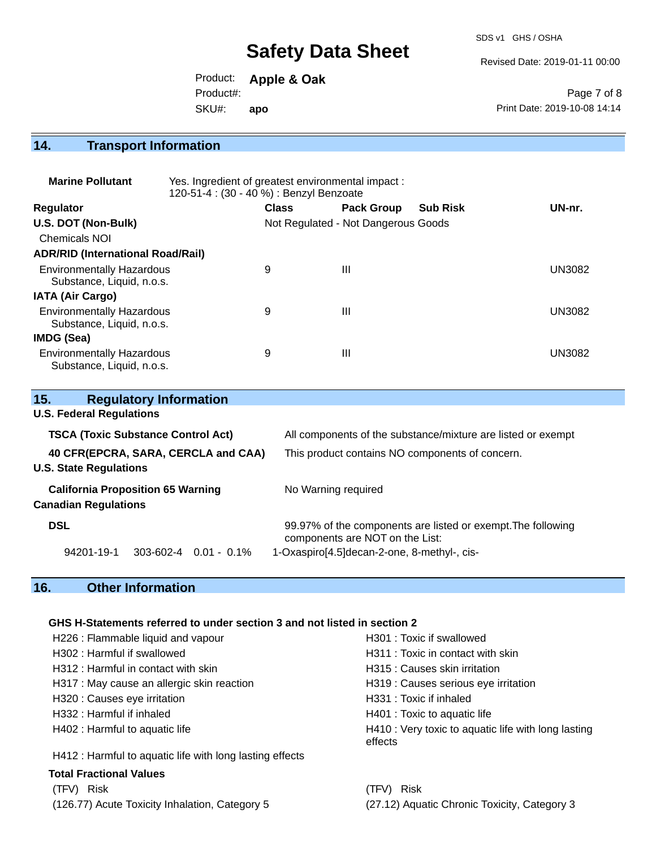SDS v1 GHS / OSHA

Revised Date: 2019-01-11 00:00

Product: **Apple & Oak** SKU#: Product#: **apo**

Page 7 of 8 Print Date: 2019-10-08 14:14

## **14. Transport Information**

| <b>Marine Pollutant</b>                                       | Yes. Ingredient of greatest environmental impact:<br>120-51-4 : (30 - 40 %) : Benzyl Benzoate |              |                                     |                 |               |
|---------------------------------------------------------------|-----------------------------------------------------------------------------------------------|--------------|-------------------------------------|-----------------|---------------|
| <b>Regulator</b>                                              |                                                                                               | <b>Class</b> | <b>Pack Group</b>                   | <b>Sub Risk</b> | UN-nr.        |
| U.S. DOT (Non-Bulk)                                           |                                                                                               |              | Not Regulated - Not Dangerous Goods |                 |               |
| Chemicals NOI                                                 |                                                                                               |              |                                     |                 |               |
| <b>ADR/RID (International Road/Rail)</b>                      |                                                                                               |              |                                     |                 |               |
| <b>Environmentally Hazardous</b><br>Substance, Liquid, n.o.s. |                                                                                               | 9            | $\mathbf{III}$                      |                 | <b>UN3082</b> |
| <b>IATA (Air Cargo)</b>                                       |                                                                                               |              |                                     |                 |               |
| <b>Environmentally Hazardous</b><br>Substance, Liquid, n.o.s. |                                                                                               | 9            | $\mathbf{III}$                      |                 | <b>UN3082</b> |
| IMDG (Sea)                                                    |                                                                                               |              |                                     |                 |               |
| <b>Environmentally Hazardous</b><br>Substance, Liquid, n.o.s. |                                                                                               | 9            | Ш                                   |                 | <b>UN3082</b> |

| 15.<br><b>Regulatory Information</b>      |                |                                                                                                 |  |
|-------------------------------------------|----------------|-------------------------------------------------------------------------------------------------|--|
| <b>U.S. Federal Regulations</b>           |                |                                                                                                 |  |
| <b>TSCA (Toxic Substance Control Act)</b> |                | All components of the substance/mixture are listed or exempt                                    |  |
| 40 CFR(EPCRA, SARA, CERCLA and CAA)       |                | This product contains NO components of concern.                                                 |  |
| <b>U.S. State Regulations</b>             |                |                                                                                                 |  |
| <b>California Proposition 65 Warning</b>  |                | No Warning required                                                                             |  |
| <b>Canadian Regulations</b>               |                |                                                                                                 |  |
| <b>DSL</b>                                |                | 99.97% of the components are listed or exempt. The following<br>components are NOT on the List: |  |
| 94201-19-1<br>$303 - 602 - 4$             | $0.01 - 0.1\%$ | 1-Oxaspiro[4.5]decan-2-one, 8-methyl-, cis-                                                     |  |

## **16. Other Information**

#### **GHS H-Statements referred to under section 3 and not listed in section 2**

| H226 : Flammable liquid and vapour                       | H301 : Toxic if swallowed                                      |  |  |
|----------------------------------------------------------|----------------------------------------------------------------|--|--|
|                                                          |                                                                |  |  |
| H302 : Harmful if swallowed                              | H311 : Toxic in contact with skin                              |  |  |
| H312: Harmful in contact with skin                       | H315 : Causes skin irritation                                  |  |  |
| H317 : May cause an allergic skin reaction               | H319 : Causes serious eye irritation                           |  |  |
| H320 : Causes eye irritation                             | H331 : Toxic if inhaled                                        |  |  |
| H332 : Harmful if inhaled                                | H401 : Toxic to aquatic life                                   |  |  |
| H402 : Harmful to aquatic life                           | H410 : Very toxic to aquatic life with long lasting<br>effects |  |  |
| H412 : Harmful to aquatic life with long lasting effects |                                                                |  |  |
| <b>Total Fractional Values</b>                           |                                                                |  |  |
| <b>Risk</b><br>(TFV)                                     | Risk<br>(TFV)                                                  |  |  |
| (126.77) Acute Toxicity Inhalation, Category 5           | (27.12) Aquatic Chronic Toxicity, Category 3                   |  |  |